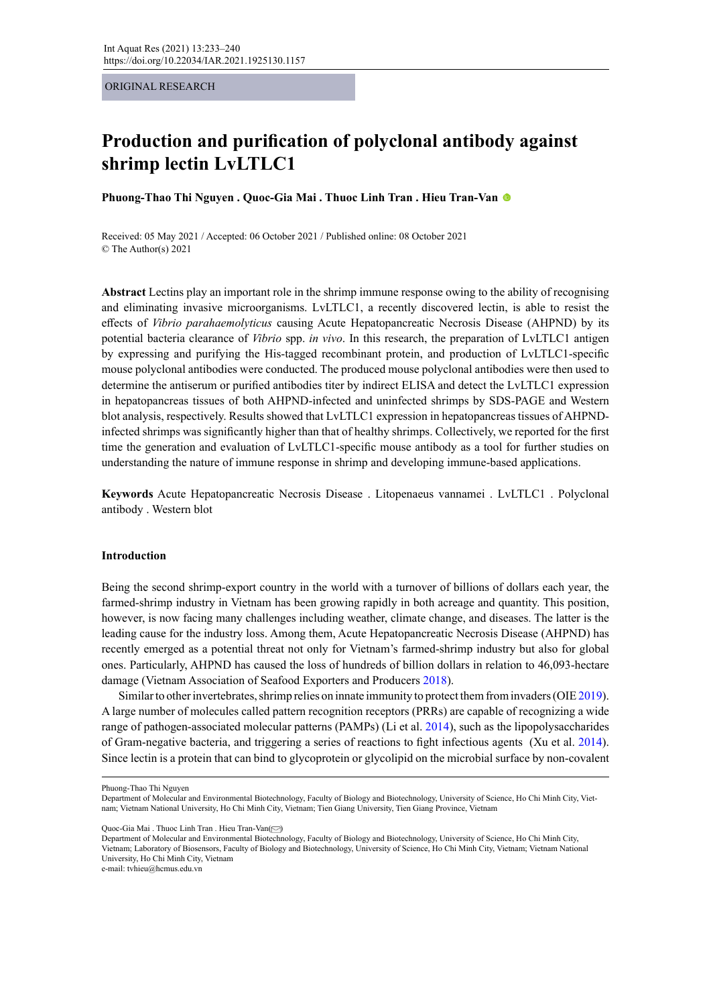ORIGINAL RESEARCH

# **Production and purification of polyclonal antibody against shrimp lectin LvLTLC1**

**Phuong-Thao Thi Nguyen . Quoc-Gia Mai . Thuoc Linh Tran . Hieu Tran-Van**

Received: 05 May 2021 / Accepted: 06 October 2021 / Published online: 08 October 2021 © The Author(s) 2021

**Abstract** Lectins play an important role in the shrimp immune response owing to the ability of recognising and eliminating invasive microorganisms. LvLTLC1, a recently discovered lectin, is able to resist the effects of *Vibrio parahaemolyticus* causing Acute Hepatopancreatic Necrosis Disease (AHPND) by its potential bacteria clearance of *Vibrio* spp. *in vivo*. In this research, the preparation of LvLTLC1 antigen by expressing and purifying the His-tagged recombinant protein, and production of LvLTLC1-specific mouse polyclonal antibodies were conducted. The produced mouse polyclonal antibodies were then used to determine the antiserum or purified antibodies titer by indirect ELISA and detect the LvLTLC1 expression in hepatopancreas tissues of both AHPND-infected and uninfected shrimps by SDS-PAGE and Western blot analysis, respectively. Results showed that LvLTLC1 expression in hepatopancreas tissues of AHPNDinfected shrimps was significantly higher than that of healthy shrimps. Collectively, we reported for the first time the generation and evaluation of LvLTLC1-specific mouse antibody as a tool for further studies on understanding the nature of immune response in shrimp and developing immune-based applications.

**Keywords** Acute Hepatopancreatic Necrosis Disease . Litopenaeus vannamei . LvLTLC1 . Polyclonal antibody . Western blot

## **Introduction**

Being the second shrimp-export country in the world with a turnover of billions of dollars each year, the farmed-shrimp industry in Vietnam has been growing rapidly in both acreage and quantity. This position, however, is now facing many challenges including weather, climate change, and diseases. The latter is the leading cause for the industry loss. Among them, Acute Hepatopancreatic Necrosis Disease (AHPND) has recently emerged as a potential threat not only for Vietnam's farmed-shrimp industry but also for global ones. Particularly, AHPND has caused the loss of hundreds of billion dollars in relation to 46,093-hectare damage (Vietnam Association of Seafood Exporters and Producers 2018).

Similar to other invertebrates, shrimp relies on innate immunity to protect them from invaders (OIE 2019). A large number of molecules called pattern recognition receptors (PRRs) are capable of recognizing a wide range of pathogen-associated molecular patterns (PAMPs) (Li et al. 2014), such as the lipopolysaccharides of Gram-negative bacteria, and triggering a series of reactions to fight infectious agents (Xu et al. 2014). Since lectin is a protein that can bind to glycoprotein or glycolipid on the microbial surface by non-covalent

Quoc-Gia Mai . Thuoc Linh Tran . Hieu Tran-Van( [\)](mailto:tvhieu%40hcmus.edu.vn?subject=)

Department of Molecular and Environmental Biotechnology, Faculty of Biology and Biotechnology, University of Science, Ho Chi Minh City, Vietnam; Laboratory of Biosensors, Faculty of Biology and Biotechnology, University of Science, Ho Chi Minh City, Vietnam; Vietnam National University, Ho Chi Minh City, Vietnam

e-mail: tvhieu@hcmus.edu.vn

Phuong-Thao Thi Nguyen

Department of Molecular and Environmental Biotechnology, Faculty of Biology and Biotechnology, University of Science, Ho Chi Minh City, Vietnam; Vietnam National University, Ho Chi Minh City, Vietnam; Tien Giang University, Tien Giang Province, Vietnam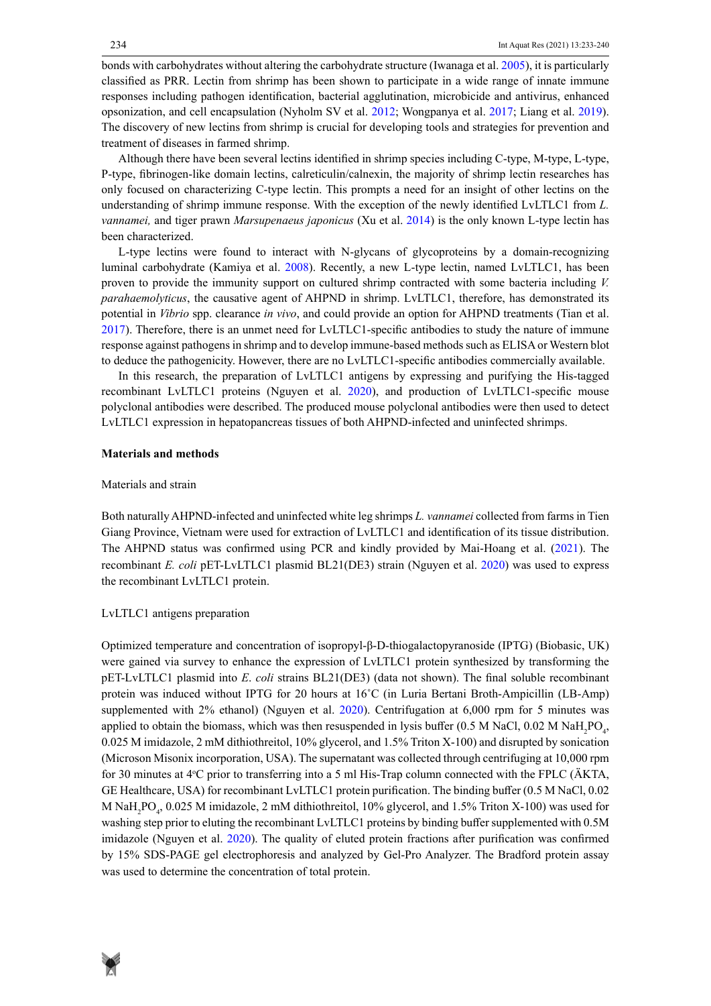bonds with carbohydrates without altering the carbohydrate structure (Iwanaga et al. 2005), it is particularly classified as PRR. Lectin from shrimp has been shown to participate in a wide range of innate immune responses including pathogen identification, bacterial agglutination, microbicide and antivirus, enhanced opsonization, and cell encapsulation (Nyholm SV et al. 2012; Wongpanya et al. 2017; Liang et al. 2019). The discovery of new lectins from shrimp is crucial for developing tools and strategies for prevention and treatment of diseases in farmed shrimp.

Although there have been several lectins identified in shrimp species including C-type, M-type, L-type, P-type, fibrinogen-like domain lectins, calreticulin/calnexin, the majority of shrimp lectin researches has only focused on characterizing C-type lectin. This prompts a need for an insight of other lectins on the understanding of shrimp immune response. With the exception of the newly identified LvLTLC1 from *L. vannamei,* and tiger prawn *Marsupenaeus japonicus* (Xu et al. 2014) is the only known L-type lectin has been characterized.

L-type lectins were found to interact with N-glycans of glycoproteins by a domain-recognizing luminal carbohydrate (Kamiya et al. 2008). Recently, a new L-type lectin, named LvLTLC1, has been proven to provide the immunity support on cultured shrimp contracted with some bacteria including *V. parahaemolyticus*, the causative agent of AHPND in shrimp. LvLTLC1, therefore, has demonstrated its potential in *Vibrio* spp. clearance *in vivo*, and could provide an option for AHPND treatments (Tian et al. 2017). Therefore, there is an unmet need for LvLTLC1-specific antibodies to study the nature of immune response against pathogens in shrimp and to develop immune-based methods such as ELISA or Western blot to deduce the pathogenicity. However, there are no LvLTLC1-specific antibodies commercially available.

In this research, the preparation of LvLTLC1 antigens by expressing and purifying the His-tagged recombinant LvLTLC1 proteins (Nguyen et al. 2020), and production of LvLTLC1-specific mouse polyclonal antibodies were described. The produced mouse polyclonal antibodies were then used to detect LvLTLC1 expression in hepatopancreas tissues of both AHPND-infected and uninfected shrimps.

### **Materials and methods**

#### Materials and strain

Both naturally AHPND-infected and uninfected white leg shrimps *L. vannamei* collected from farmsin Tien Giang Province, Vietnam were used for extraction of LvLTLC1 and identification of its tissue distribution. The AHPND status was confirmed using PCR and kindly provided by Mai-Hoang et al. (2021). The recombinant *E. coli* pET-LvLTLC1 plasmid BL21(DE3) strain (Nguyen et al. 2020) was used to express the recombinant LvLTLC1 protein.

## LvLTLC1 antigens preparation

Optimized temperature and concentration of isopropyl-β-D-thiogalactopyranoside (IPTG) (Biobasic, UK) were gained via survey to enhance the expression of LvLTLC1 protein synthesized by transforming the pET-LvLTLC1 plasmid into *E*. *coli* strains BL21(DE3) (data not shown). The final soluble recombinant protein was induced without IPTG for 20 hours at 16˚C (in Luria Bertani Broth-Ampicillin (LB-Amp) supplemented with 2% ethanol) (Nguyen et al. 2020). Centrifugation at 6,000 rpm for 5 minutes was applied to obtain the biomass, which was then resuspended in lysis buffer (0.5 M NaCl, 0.02 M NaH<sub>2</sub>PO<sub>4</sub>, 0.025 M imidazole, 2 mM dithiothreitol, 10% glycerol, and 1.5% Triton X-100) and disrupted by sonication (Microson Misonix incorporation, USA). The supernatant was collected through centrifuging at 10,000 rpm for 30 minutes at 4°C prior to transferring into a 5 ml His-Trap column connected with the FPLC ( $\angle$ AKTA, GE Healthcare, USA) for recombinant LvLTLC1 protein purification. The binding buffer (0.5 M NaCl, 0.02 M NaH<sub>2</sub>PO<sub>4</sub>, 0.025 M imidazole, 2 mM dithiothreitol, 10% glycerol, and 1.5% Triton X-100) was used for washing step prior to eluting the recombinant LvLTLC1 proteins by binding buffer supplemented with 0.5M imidazole (Nguyen et al. 2020). The quality of eluted protein fractions after purification was confirmed by 15% SDS-PAGE gel electrophoresis and analyzed by Gel-Pro Analyzer. The Bradford protein assay was used to determine the concentration of total protein.

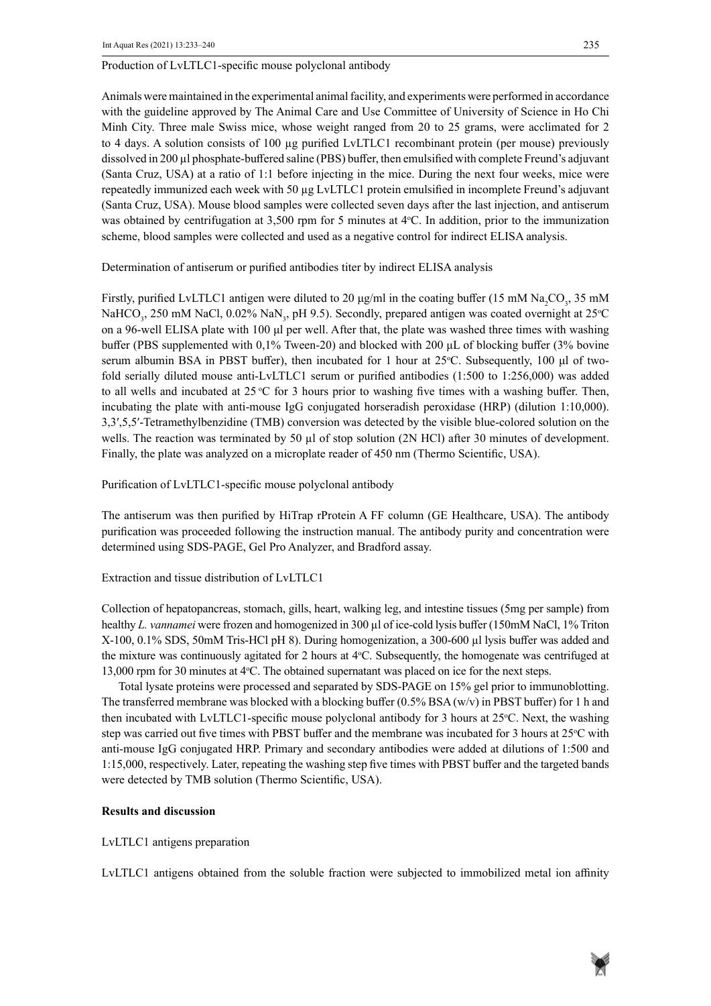Production of LvLTLC1-specific mouse polyclonal antibody

Animals were maintained in the experimental animal facility, and experiments were performed in accordance with the guideline approved by The Animal Care and Use Committee of University of Science in Ho Chi Minh City. Three male Swiss mice, whose weight ranged from 20 to 25 grams, were acclimated for 2 to 4 days. A solution consists of 100 µg purified LvLTLC1 recombinant protein (per mouse) previously dissolved in 200 µl phosphate-buffered saline (PBS) buffer, then emulsified with complete Freund's adjuvant (Santa Cruz, USA) at a ratio of 1:1 before injecting in the mice. During the next four weeks, mice were repeatedly immunized each week with 50 µg LvLTLC1 protein emulsified in incomplete Freund's adjuvant (Santa Cruz, USA). Mouse blood samples were collected seven days after the last injection, and antiserum was obtained by centrifugation at  $3,500$  rpm for 5 minutes at  $4^{\circ}$ C. In addition, prior to the immunization scheme, blood samples were collected and used as a negative control for indirect ELISA analysis.

Determination of antiserum or purified antibodies titer by indirect ELISA analysis

Firstly, purified LvLTLC1 antigen were diluted to 20  $\mu$ g/ml in the coating buffer (15 mM Na<sub>2</sub>CO<sub>3</sub>, 35 mM NaHCO<sub>3</sub>, 250 mM NaCl, 0.02% NaN<sub>3</sub>, pH 9.5). Secondly, prepared antigen was coated overnight at 25°C on a 96-well ELISA plate with 100 μl per well. After that, the plate was washed three times with washing buffer (PBS supplemented with 0,1% Tween-20) and blocked with 200 μL of blocking buffer (3% bovine serum albumin BSA in PBST buffer), then incubated for 1 hour at  $25^{\circ}$ C. Subsequently, 100  $\mu$ l of twofold serially diluted mouse anti-LvLTLC1 serum or purified antibodies (1:500 to 1:256,000) was added to all wells and incubated at 25 °C for 3 hours prior to washing five times with a washing buffer. Then, incubating the plate with anti-mouse IgG conjugated horseradish peroxidase (HRP) (dilution 1:10,000). 3,3′,5,5′-Tetramethylbenzidine (TMB) conversion was detected by the visible blue-colored solution on the wells. The reaction was terminated by 50 µl of stop solution (2N HCl) after 30 minutes of development. Finally, the plate was analyzed on a microplate reader of 450 nm (Thermo Scientific, USA).

Purification of LvLTLC1-specific mouse polyclonal antibody

The antiserum was then purified by HiTrap rProtein A FF column (GE Healthcare, USA). The antibody purification was proceeded following the instruction manual. The antibody purity and concentration were determined using SDS-PAGE, Gel Pro Analyzer, and Bradford assay.

Extraction and tissue distribution of LvLTLC1

Collection of hepatopancreas, stomach, gills, heart, walking leg, and intestine tissues (5mg per sample) from healthy *L. vannamei* were frozen and homogenized in 300 µl of ice-cold lysis buffer (150mM NaCl, 1% Triton X-100, 0.1% SDS, 50mM Tris-HCl pH 8). During homogenization, a 300-600 µl lysis buffer was added and the mixture was continuously agitated for 2 hours at  $4^{\circ}$ C. Subsequently, the homogenate was centrifuged at 13,000 rpm for 30 minutes at 4°C. The obtained supernatant was placed on ice for the next steps.

Total lysate proteins were processed and separated by SDS-PAGE on 15% gel prior to immunoblotting. The transferred membrane was blocked with a blocking buffer  $(0.5\% BSA (w/v)$  in PBST buffer) for 1 h and then incubated with LvLTLC1-specific mouse polyclonal antibody for 3 hours at 25°C. Next, the washing step was carried out five times with PBST buffer and the membrane was incubated for 3 hours at 25°C with anti-mouse IgG conjugated HRP. Primary and secondary antibodies were added at dilutions of 1:500 and 1:15,000, respectively. Later, repeating the washing step five times with PBST buffer and the targeted bands were detected by TMB solution (Thermo Scientific, USA).

## **Results and discussion**

LvLTLC1 antigens preparation

LvLTLC1 antigens obtained from the soluble fraction were subjected to immobilized metal ion affinity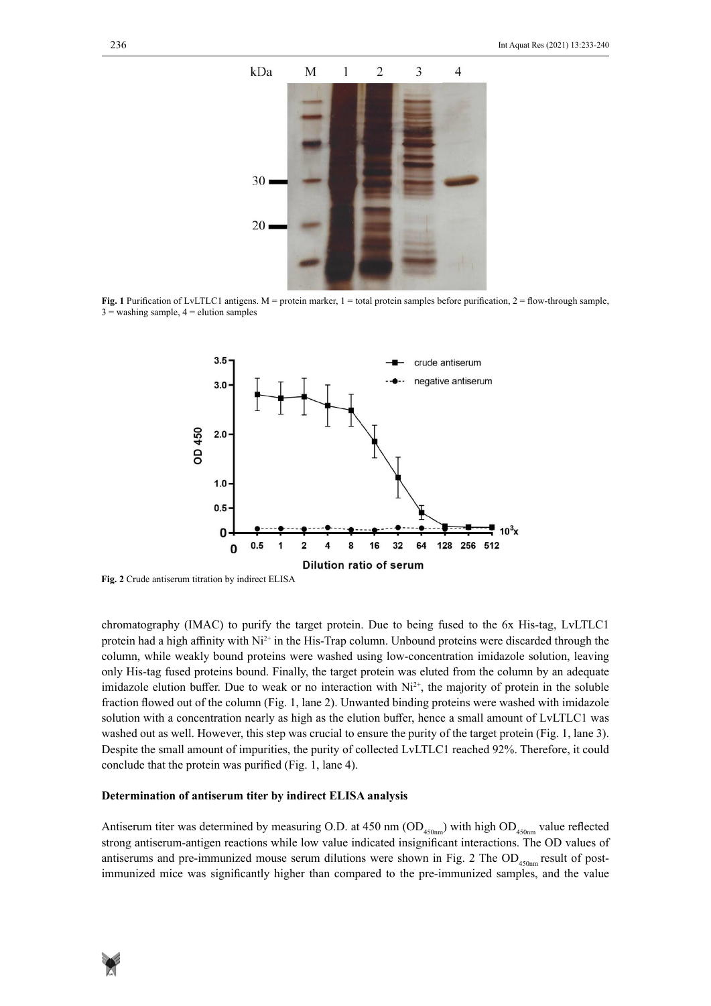

 $\frac{3}{2}$  washing sample, 4 = elution samples **before purification**, 2 =  $\frac{1}{2}$  $\frac{1}{2}$  =  $\frac{1}{4}$  = elements samples, 4  $\frac{1}{2}$  = elements samples, 4  $\frac{1}{2}$ **Fig. 1** Purification of LvLTLC1 antigens. M = protein marker, 1 = total protein samples before purification, 2 = flow-through sample,



**Fig. 2** Crude antiserum titration by indirect ELISA

chromatography (IMAC) to purify the target protein. Due to being fused to the 6x His-tag, LvLTLC1 protein had a high affinity with  $Ni^{2+}$  in the His-Trap column. Unbound proteins were discarded through the column, while weakly bound proteins were washed using low-concentration imidazole solution, leaving only His-tag fused proteins bound. Finally, the target protein was eluted from the column by an adequate imidazole elution buffer. Due to weak or no interaction with  $Ni^{2+}$ , the majority of protein in the soluble fraction flowed out of the column (Fig. 1, lane 2). Unwanted binding proteins were washed with imidazole solution with a concentration nearly as high as the elution buffer, hence a small amount of LvLTLC1 was washed out as well. However, this step was crucial to ensure the purity of the target protein (Fig. 1, lane 3). Despite the small amount of impurities, the purity of collected LvLTLC1 reached 92%. Therefore, it could conclude that the protein was purified (Fig. 1, lane 4).

#### **Determination of antiserum titer by indirect ELISA analysis**

Antiserum titer was determined by measuring O.D. at 450 nm  $OD_{450nm}$ ) with high  $OD_{450nm}$  value reflected strong antiserum-antigen reactions while low value indicated insignificant interactions. The OD values of antiserums and pre-immunized mouse serum dilutions were shown in Fig. 2 The  $OD<sub>450nm</sub>$  result of postimmunized mice was significantly higher than compared to the pre-immunized samples, and the value

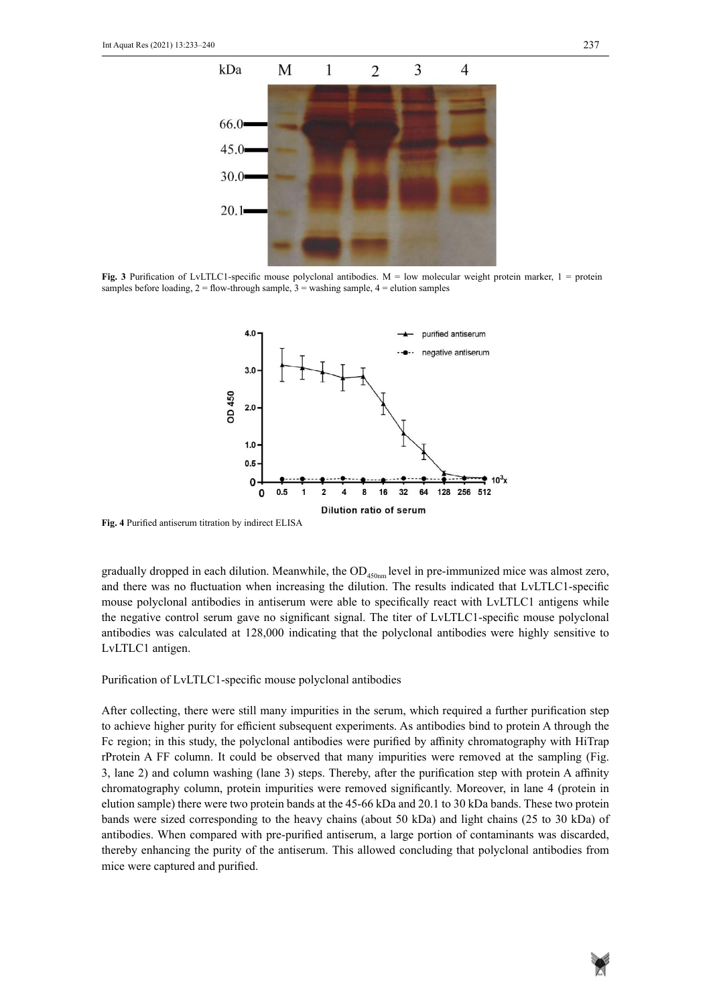

samples before loading,  $2 =$  flow-through sample,  $3 =$  washing sample,  $4 =$  elution samples samples before loading, 2 = flow-through sample, 3 = washing sample, 4 = elution samples **Fig. 3** Purification of LvLTLC1-specific mouse polyclonal antibodies.  $M =$  low molecular weight protein marker,  $1 =$  protein



**Fig. 4** Purified antiserum titration by indirect ELISA **Fig. 4** Purified antiserum titration by indirect ELISA

gradually dropped in each dilution. Meanwhile, the  $OD_{450nm}$  level in pre-immunized mice was almost zero, and there was no fluctuation when increasing the dilution. The results indicated that LvLTLC1-specific mouse polyclonal antibodies in antiserum were able to specifically react with LvLTLC1 antigens while the negative control serum gave no significant signal. The titer of LvLTLC1-specific mouse polyclonal antibodies was calculated at 128,000 indicating that the polyclonal antibodies were highly sensitive to LvLTLC1 antigen.

## Purification of LvLTLC1-specific mouse polyclonal antibodies

After collecting, there were still many impurities in the serum, which required a further purification step to achieve higher purity for efficient subsequent experiments. As antibodies bind to protein A through the Fc region; in this study, the polyclonal antibodies were purified by affinity chromatography with HiTrap rProtein A FF column. It could be observed that many impurities were removed at the sampling (Fig. 3, lane 2) and column washing (lane 3) steps. Thereby, after the purification step with protein A affinity chromatography column, protein impurities were removed significantly. Moreover, in lane 4 (protein in elution sample) there were two protein bands at the 45-66 kDa and 20.1 to 30 kDa bands. These two protein bands were sized corresponding to the heavy chains (about 50 kDa) and light chains (25 to 30 kDa) of antibodies. When compared with pre-purified antiserum, a large portion of contaminants was discarded, thereby enhancing the purity of the antiserum. This allowed concluding that polyclonal antibodies from mice were captured and purified.

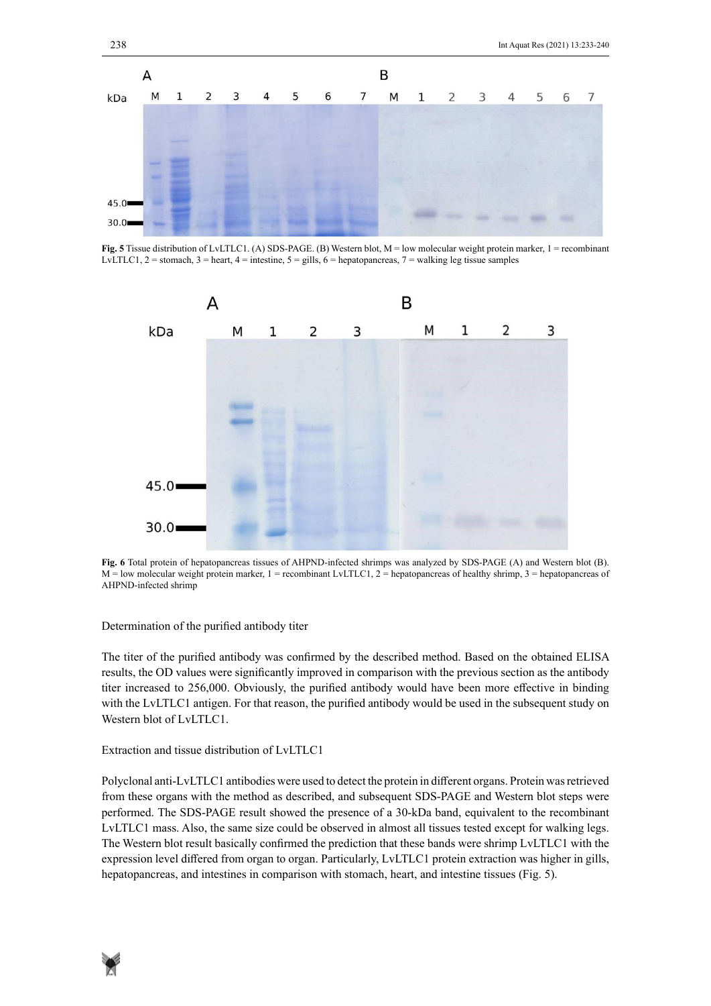

**Fig. 5** Tissue distribution of LvLTLC1. (A) SDS-PAGE. (B) Western blot, M = low molecular weight protein marker, 1 = recombinant LvLTLC1, 2 = stomach, 3 = heart, 4 = intestine,  $5 =$  gills, 6 = hepatopancreas, 7 = walking leg tissue samples



AHPND-infected shrimps was analyzed by SDS-PAGE (A) and Western blot (B). And Western blot (B). And Western blo **Fig. 6** Total protein of hepatopancreas tissues of AHPND-infected shrimps was analyzed by SDS-PAGE (A) and Western blot (B).  $M =$ low molecular weight protein marker, 1 = recombinant LvLTLC1, 2 = hepatopancreas of healthy shrimp, 3 = hepatopancreas of

## Determination of the purified antibody titer

The titer of the purified antibody was confirmed by the described method. Based on the obtained ELISA results, the OD values were significantly improved in comparison with the previous section as the antibody titer increased to 256,000. Obviously, the purified antibody would have been more effective in binding with the LvLTLC1 antigen. For that reason, the purified antibody would be used in the subsequent study on Western blot of LvLTLC1.

## Extraction and tissue distribution of LvLTLC1

Polyclonal anti-LvLTLC1 antibodies were used to detect the protein in different organs. Protein was retrieved from these organs with the method as described, and subsequent SDS-PAGE and Western blot steps were performed. The SDS-PAGE result showed the presence of a 30-kDa band, equivalent to the recombinant LvLTLC1 mass. Also, the same size could be observed in almost all tissues tested except for walking legs. The Western blot result basically confirmed the prediction that these bands were shrimp LvLTLC1 with the expression level differed from organ to organ. Particularly, LvLTLC1 protein extraction was higher in gills, hepatopancreas, and intestines in comparison with stomach, heart, and intestine tissues (Fig. 5).

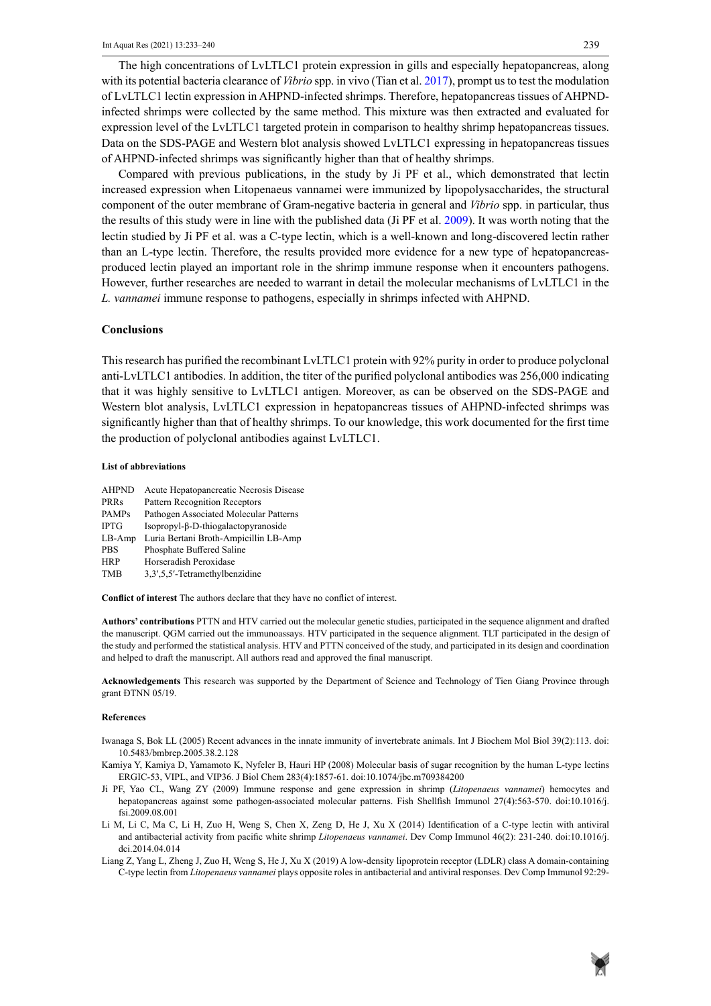The high concentrations of LvLTLC1 protein expression in gills and especially hepatopancreas, along with its potential bacteria clearance of *Vibrio* spp. in vivo (Tian et al. 2017), prompt us to test the modulation of LvLTLC1 lectin expression in AHPND-infected shrimps. Therefore, hepatopancreas tissues of AHPNDinfected shrimps were collected by the same method. This mixture was then extracted and evaluated for expression level of the LvLTLC1 targeted protein in comparison to healthy shrimp hepatopancreas tissues. Data on the SDS-PAGE and Western blot analysis showed LvLTLC1 expressing in hepatopancreas tissues of AHPND-infected shrimps was significantly higher than that of healthy shrimps.

Compared with previous publications, in the study by Ji PF et al., which demonstrated that lectin increased expression when Litopenaeus vannamei were immunized by lipopolysaccharides, the structural component of the outer membrane of Gram-negative bacteria in general and *Vibrio* spp. in particular, thus the results of this study were in line with the published data (Ji PF et al. 2009). It was worth noting that the lectin studied by Ji PF et al. was a C-type lectin, which is a well-known and long-discovered lectin rather than an L-type lectin. Therefore, the results provided more evidence for a new type of hepatopancreasproduced lectin played an important role in the shrimp immune response when it encounters pathogens. However, further researches are needed to warrant in detail the molecular mechanisms of LvLTLC1 in the *L. vannamei* immune response to pathogens, especially in shrimps infected with AHPND.

## **Conclusions**

This research has purified the recombinant LvLTLC1 protein with 92% purity in order to produce polyclonal anti-LvLTLC1 antibodies. In addition, the titer of the purified polyclonal antibodies was 256,000 indicating that it was highly sensitive to LvLTLC1 antigen. Moreover, as can be observed on the SDS-PAGE and Western blot analysis, LvLTLC1 expression in hepatopancreas tissues of AHPND-infected shrimps was significantly higher than that of healthy shrimps. To our knowledge, this work documented for the first time the production of polyclonal antibodies against LvLTLC1.

#### **List of abbreviations**

| <b>AHPND</b> | Acute Hepatopancreatic Necrosis Disease |
|--------------|-----------------------------------------|
| PRRs         | <b>Pattern Recognition Receptors</b>    |
| <b>PAMPs</b> | Pathogen Associated Molecular Patterns  |
| <b>IPTG</b>  | Isopropyl-β-D-thiogalactopyranoside     |
| $LB-Amp$     | Luria Bertani Broth-Ampicillin LB-Amp   |
| <b>PBS</b>   | Phosphate Buffered Saline               |
| <b>HRP</b>   | Horseradish Peroxidase                  |
| <b>TMB</b>   | 3,3',5,5'-Tetramethylbenzidine          |
|              |                                         |

**Conflict of interest** The authors declare that they have no conflict of interest.

**Authors' contributions** PTTN and HTV carried out the molecular genetic studies, participated in the sequence alignment and drafted the manuscript. QGM carried out the immunoassays. HTV participated in the sequence alignment. TLT participated in the design of the study and performed the statistical analysis. HTV and PTTN conceived of the study, and participated in its design and coordination and helped to draft the manuscript. All authors read and approved the final manuscript.

**Acknowledgements** This research was supported by the Department of Science and Technology of Tien Giang Province through grant ĐTNN 05/19.

#### **References**

- Iwanaga S, Bok LL (2005) Recent advances in the innate immunity of invertebrate animals. Int J Biochem Mol Biol 39(2):113. doi: [10.5483/bmbrep.2005.38.2.128](https://doi.org/10.5483/bmbrep.2005.38.2.128)
- Kamiya Y, Kamiya D, Yamamoto K, Nyfeler B, Hauri HP (2008) Molecular basis of sugar recognition by the human L-type lectins ERGIC-53, VIPL, and VIP36. J Biol Chem 283(4):1857-61. doi:10.1074/jbc.m709384200
- Ji PF, Yao CL, Wang ZY (2009) Immune response and gene expression in shrimp (*Litopenaeus vannamei*) hemocytes and hepatopancreas against some pathogen-associated molecular patterns. Fish Shellfish Immunol 27(4):563-570. doi:10.1016/j. fsi.2009.08.001
- Li M, Li C, Ma C, Li H, Zuo H, Weng S, Chen X, Zeng D, He J, Xu X (2014) Identification of a C-type lectin with antiviral and antibacterial activity from pacific white shrimp *Litopenaeus vannamei*. Dev Comp Immunol 46(2): 231-240. doi:10.1016/j. dci.2014.04.014
- Liang Z, Yang L, Zheng J, Zuo H, Weng S, He J, Xu X (2019) A low-density lipoprotein receptor (LDLR) class A domain-containing C-type lectin from *Litopenaeus vannamei* plays opposite roles in antibacterial and antiviral responses. Dev Comp Immunol 92:29-